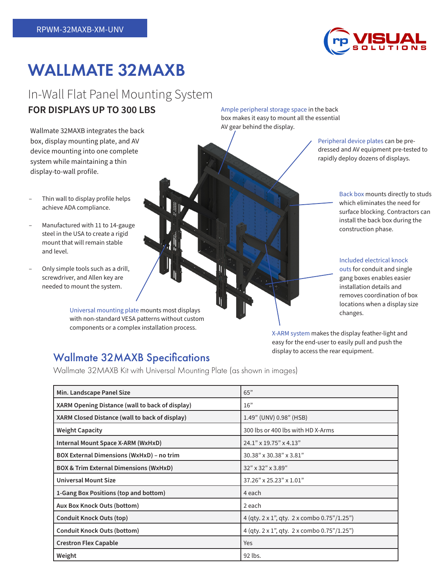

# WALLMATE 32MAXB

## In-Wall Flat Panel Mounting System **FOR DISPLAYS UP TO 300 LBS**

Wallmate 32MAXB integrates the back box, display mounting plate, and AV device mounting into one complete system while maintaining a thin display-to-wall profile.

- Thin wall to display profile helps achieve ADA compliance.
- Manufactured with 11 to 14-gauge steel in the USA to create a rigid mount that will remain stable and level.
- Only simple tools such as a drill, screwdriver, and Allen key are needed to mount the system.

Universal mounting plate mounts most displays with non-standard VESA patterns without custom components or a complex installation process.

Wallmate 32MAXB Specifications

Wallmate 32MAXB Kit with Universal Mounting Plate (as shown in images)

Ample peripheral storage space in the back box makes it easy to mount all the essential AV gear behind the display.

> Peripheral device plates can be predressed and AV equipment pre-tested to rapidly deploy dozens of displays.

> > Back box mounts directly to studs which eliminates the need for surface blocking. Contractors can install the back box during the construction phase.

#### Included electrical knock

outs for conduit and single gang boxes enables easier installation details and removes coordination of box locations when a display size changes.

X-ARM system makes the display feather-light and easy for the end-user to easily pull and push the display to access the rear equipment.

| Min. Landscape Panel Size                         | 65"                                                        |
|---------------------------------------------------|------------------------------------------------------------|
| XARM Opening Distance (wall to back of display)   | 16"                                                        |
| XARM Closed Distance (wall to back of display)    | 1.49" (UNV) 0.98" (HSB)                                    |
| <b>Weight Capacity</b>                            | 300 lbs or 400 lbs with HD X-Arms                          |
| Internal Mount Space X-ARM (WxHxD)                | $24.1" \times 19.75" \times 4.13"$                         |
| <b>BOX External Dimensions (WxHxD) - no trim</b>  | 30.38" x 30.38" x 3.81"                                    |
| <b>BOX &amp; Trim External Dimensions (WxHxD)</b> | 32" x 32" x 3.89"                                          |
| <b>Universal Mount Size</b>                       | 37.26" x 25.23" x 1.01"                                    |
| 1-Gang Box Positions (top and bottom)             | 4 each                                                     |
| Aux Box Knock Outs (bottom)                       | 2 each                                                     |
| <b>Conduit Knock Outs (top)</b>                   | 4 (qty. 2 x 1", qty. 2 x combo 0.75"/1.25")                |
| <b>Conduit Knock Outs (bottom)</b>                | 4 (qty. $2 \times 1$ ", qty. $2 \times$ combo 0.75"/1.25") |
| <b>Crestron Flex Capable</b>                      | Yes                                                        |
| Weight                                            | 92 lbs.                                                    |